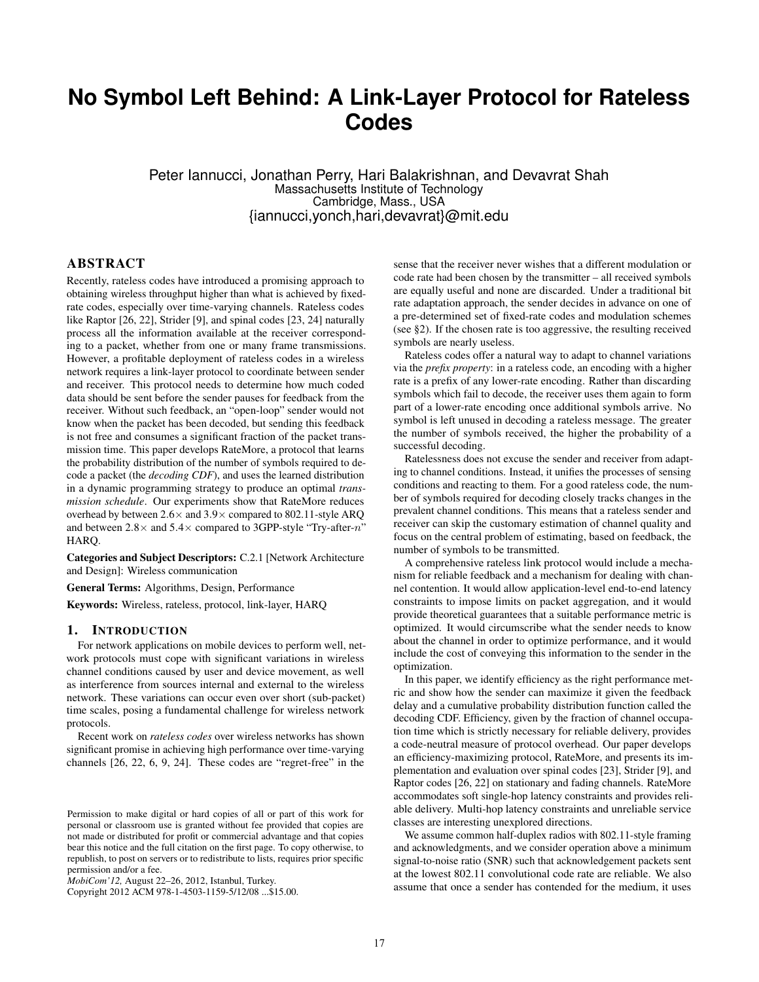# **No Symbol Left Behind: A Link-Layer Protocol for Rateless Codes**

Peter Iannucci, Jonathan Perry, Hari Balakrishnan, and Devavrat Shah Massachusetts Institute of Technology Cambridge, Mass., USA {iannucci,yonch,hari,devavrat}@mit.edu

# ABSTRACT

Recently, rateless codes have introduced a promising approach to obtaining wireless throughput higher than what is achieved by fixedrate codes, especially over time-varying channels. Rateless codes like Raptor [26, 22], Strider [9], and spinal codes [23, 24] naturally process all the information available at the receiver corresponding to a packet, whether from one or many frame transmissions. However, a profitable deployment of rateless codes in a wireless network requires a link-layer protocol to coordinate between sender and receiver. This protocol needs to determine how much coded data should be sent before the sender pauses for feedback from the receiver. Without such feedback, an "open-loop" sender would not know when the packet has been decoded, but sending this feedback is not free and consumes a significant fraction of the packet transmission time. This paper develops RateMore, a protocol that learns the probability distribution of the number of symbols required to decode a packet (the *decoding CDF*), and uses the learned distribution in a dynamic programming strategy to produce an optimal *transmission schedule*. Our experiments show that RateMore reduces overhead by between  $2.6 \times$  and  $3.9 \times$  compared to 802.11-style ARQ and between  $2.8 \times$  and  $5.4 \times$  compared to 3GPP-style "Try-after-n" HARQ.

Categories and Subject Descriptors: C.2.1 [Network Architecture and Design]: Wireless communication

General Terms: Algorithms, Design, Performance

Keywords: Wireless, rateless, protocol, link-layer, HARQ

#### 1. INTRODUCTION

For network applications on mobile devices to perform well, network protocols must cope with significant variations in wireless channel conditions caused by user and device movement, as well as interference from sources internal and external to the wireless network. These variations can occur even over short (sub-packet) time scales, posing a fundamental challenge for wireless network protocols.

Recent work on *rateless codes* over wireless networks has shown significant promise in achieving high performance over time-varying channels [26, 22, 6, 9, 24]. These codes are "regret-free" in the

Copyright 2012 ACM 978-1-4503-1159-5/12/08 ...\$15.00.

sense that the receiver never wishes that a different modulation or code rate had been chosen by the transmitter – all received symbols are equally useful and none are discarded. Under a traditional bit rate adaptation approach, the sender decides in advance on one of a pre-determined set of fixed-rate codes and modulation schemes (see §2). If the chosen rate is too aggressive, the resulting received symbols are nearly useless.

Rateless codes offer a natural way to adapt to channel variations via the *prefix property*: in a rateless code, an encoding with a higher rate is a prefix of any lower-rate encoding. Rather than discarding symbols which fail to decode, the receiver uses them again to form part of a lower-rate encoding once additional symbols arrive. No symbol is left unused in decoding a rateless message. The greater the number of symbols received, the higher the probability of a successful decoding.

Ratelessness does not excuse the sender and receiver from adapting to channel conditions. Instead, it unifies the processes of sensing conditions and reacting to them. For a good rateless code, the number of symbols required for decoding closely tracks changes in the prevalent channel conditions. This means that a rateless sender and receiver can skip the customary estimation of channel quality and focus on the central problem of estimating, based on feedback, the number of symbols to be transmitted.

A comprehensive rateless link protocol would include a mechanism for reliable feedback and a mechanism for dealing with channel contention. It would allow application-level end-to-end latency constraints to impose limits on packet aggregation, and it would provide theoretical guarantees that a suitable performance metric is optimized. It would circumscribe what the sender needs to know about the channel in order to optimize performance, and it would include the cost of conveying this information to the sender in the optimization.

In this paper, we identify efficiency as the right performance metric and show how the sender can maximize it given the feedback delay and a cumulative probability distribution function called the decoding CDF. Efficiency, given by the fraction of channel occupation time which is strictly necessary for reliable delivery, provides a code-neutral measure of protocol overhead. Our paper develops an efficiency-maximizing protocol, RateMore, and presents its implementation and evaluation over spinal codes [23], Strider [9], and Raptor codes [26, 22] on stationary and fading channels. RateMore accommodates soft single-hop latency constraints and provides reliable delivery. Multi-hop latency constraints and unreliable service classes are interesting unexplored directions.

We assume common half-duplex radios with 802.11-style framing and acknowledgments, and we consider operation above a minimum signal-to-noise ratio (SNR) such that acknowledgement packets sent at the lowest 802.11 convolutional code rate are reliable. We also assume that once a sender has contended for the medium, it uses

Permission to make digital or hard copies of all or part of this work for personal or classroom use is granted without fee provided that copies are not made or distributed for profit or commercial advantage and that copies bear this notice and the full citation on the first page. To copy otherwise, to republish, to post on servers or to redistribute to lists, requires prior specific permission and/or a fee.

*MobiCom'12,* August 22–26, 2012, Istanbul, Turkey.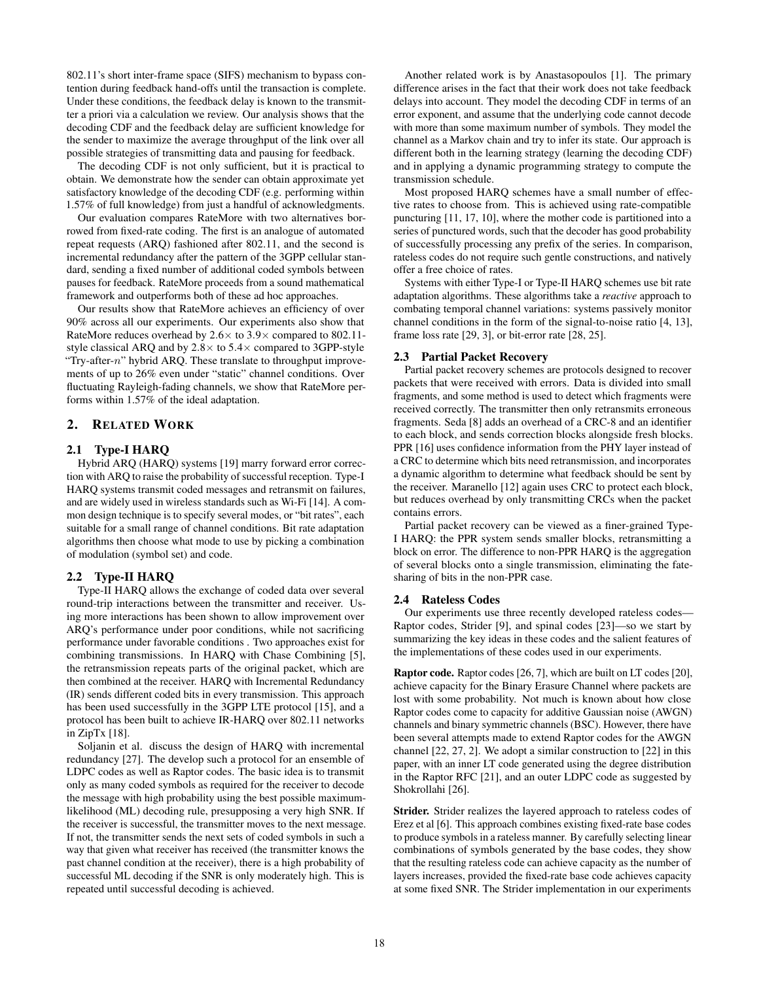802.11's short inter-frame space (SIFS) mechanism to bypass contention during feedback hand-offs until the transaction is complete. Under these conditions, the feedback delay is known to the transmitter a priori via a calculation we review. Our analysis shows that the decoding CDF and the feedback delay are sufficient knowledge for the sender to maximize the average throughput of the link over all possible strategies of transmitting data and pausing for feedback.

The decoding CDF is not only sufficient, but it is practical to obtain. We demonstrate how the sender can obtain approximate yet satisfactory knowledge of the decoding CDF (e.g. performing within 1.57% of full knowledge) from just a handful of acknowledgments.

Our evaluation compares RateMore with two alternatives borrowed from fixed-rate coding. The first is an analogue of automated repeat requests (ARQ) fashioned after 802.11, and the second is incremental redundancy after the pattern of the 3GPP cellular standard, sending a fixed number of additional coded symbols between pauses for feedback. RateMore proceeds from a sound mathematical framework and outperforms both of these ad hoc approaches.

Our results show that RateMore achieves an efficiency of over 90% across all our experiments. Our experiments also show that RateMore reduces overhead by 2.6× to 3.9× compared to 802.11 style classical ARQ and by 2.8× to 5.4× compared to 3GPP-style "Try-after- $n$ " hybrid ARQ. These translate to throughput improvements of up to 26% even under "static" channel conditions. Over fluctuating Rayleigh-fading channels, we show that RateMore performs within 1.57% of the ideal adaptation.

# 2. RELATED WORK

# 2.1 Type-I HARQ

Hybrid ARQ (HARQ) systems [19] marry forward error correction with ARQ to raise the probability of successful reception. Type-I HARQ systems transmit coded messages and retransmit on failures, and are widely used in wireless standards such as Wi-Fi [14]. A common design technique is to specify several modes, or "bit rates", each suitable for a small range of channel conditions. Bit rate adaptation algorithms then choose what mode to use by picking a combination of modulation (symbol set) and code.

# 2.2 Type-II HARQ

Type-II HARQ allows the exchange of coded data over several round-trip interactions between the transmitter and receiver. Using more interactions has been shown to allow improvement over ARQ's performance under poor conditions, while not sacrificing performance under favorable conditions . Two approaches exist for combining transmissions. In HARQ with Chase Combining [5], the retransmission repeats parts of the original packet, which are then combined at the receiver. HARQ with Incremental Redundancy (IR) sends different coded bits in every transmission. This approach has been used successfully in the 3GPP LTE protocol [15], and a protocol has been built to achieve IR-HARQ over 802.11 networks in ZipTx [18].

Soljanin et al. discuss the design of HARQ with incremental redundancy [27]. The develop such a protocol for an ensemble of LDPC codes as well as Raptor codes. The basic idea is to transmit only as many coded symbols as required for the receiver to decode the message with high probability using the best possible maximumlikelihood (ML) decoding rule, presupposing a very high SNR. If the receiver is successful, the transmitter moves to the next message. If not, the transmitter sends the next sets of coded symbols in such a way that given what receiver has received (the transmitter knows the past channel condition at the receiver), there is a high probability of successful ML decoding if the SNR is only moderately high. This is repeated until successful decoding is achieved.

Another related work is by Anastasopoulos [1]. The primary difference arises in the fact that their work does not take feedback delays into account. They model the decoding CDF in terms of an error exponent, and assume that the underlying code cannot decode with more than some maximum number of symbols. They model the channel as a Markov chain and try to infer its state. Our approach is different both in the learning strategy (learning the decoding CDF) and in applying a dynamic programming strategy to compute the transmission schedule.

Most proposed HARQ schemes have a small number of effective rates to choose from. This is achieved using rate-compatible puncturing [11, 17, 10], where the mother code is partitioned into a series of punctured words, such that the decoder has good probability of successfully processing any prefix of the series. In comparison, rateless codes do not require such gentle constructions, and natively offer a free choice of rates.

Systems with either Type-I or Type-II HARQ schemes use bit rate adaptation algorithms. These algorithms take a *reactive* approach to combating temporal channel variations: systems passively monitor channel conditions in the form of the signal-to-noise ratio [4, 13], frame loss rate [29, 3], or bit-error rate [28, 25].

#### 2.3 Partial Packet Recovery

Partial packet recovery schemes are protocols designed to recover packets that were received with errors. Data is divided into small fragments, and some method is used to detect which fragments were received correctly. The transmitter then only retransmits erroneous fragments. Seda [8] adds an overhead of a CRC-8 and an identifier to each block, and sends correction blocks alongside fresh blocks. PPR [16] uses confidence information from the PHY layer instead of a CRC to determine which bits need retransmission, and incorporates a dynamic algorithm to determine what feedback should be sent by the receiver. Maranello [12] again uses CRC to protect each block, but reduces overhead by only transmitting CRCs when the packet contains errors.

Partial packet recovery can be viewed as a finer-grained Type-I HARQ: the PPR system sends smaller blocks, retransmitting a block on error. The difference to non-PPR HARQ is the aggregation of several blocks onto a single transmission, eliminating the fatesharing of bits in the non-PPR case.

### 2.4 Rateless Codes

Our experiments use three recently developed rateless codes— Raptor codes, Strider [9], and spinal codes [23]—so we start by summarizing the key ideas in these codes and the salient features of the implementations of these codes used in our experiments.

Raptor code. Raptor codes [26, 7], which are built on LT codes [20], achieve capacity for the Binary Erasure Channel where packets are lost with some probability. Not much is known about how close Raptor codes come to capacity for additive Gaussian noise (AWGN) channels and binary symmetric channels (BSC). However, there have been several attempts made to extend Raptor codes for the AWGN channel [22, 27, 2]. We adopt a similar construction to [22] in this paper, with an inner LT code generated using the degree distribution in the Raptor RFC [21], and an outer LDPC code as suggested by Shokrollahi [26].

Strider. Strider realizes the layered approach to rateless codes of Erez et al [6]. This approach combines existing fixed-rate base codes to produce symbols in a rateless manner. By carefully selecting linear combinations of symbols generated by the base codes, they show that the resulting rateless code can achieve capacity as the number of layers increases, provided the fixed-rate base code achieves capacity at some fixed SNR. The Strider implementation in our experiments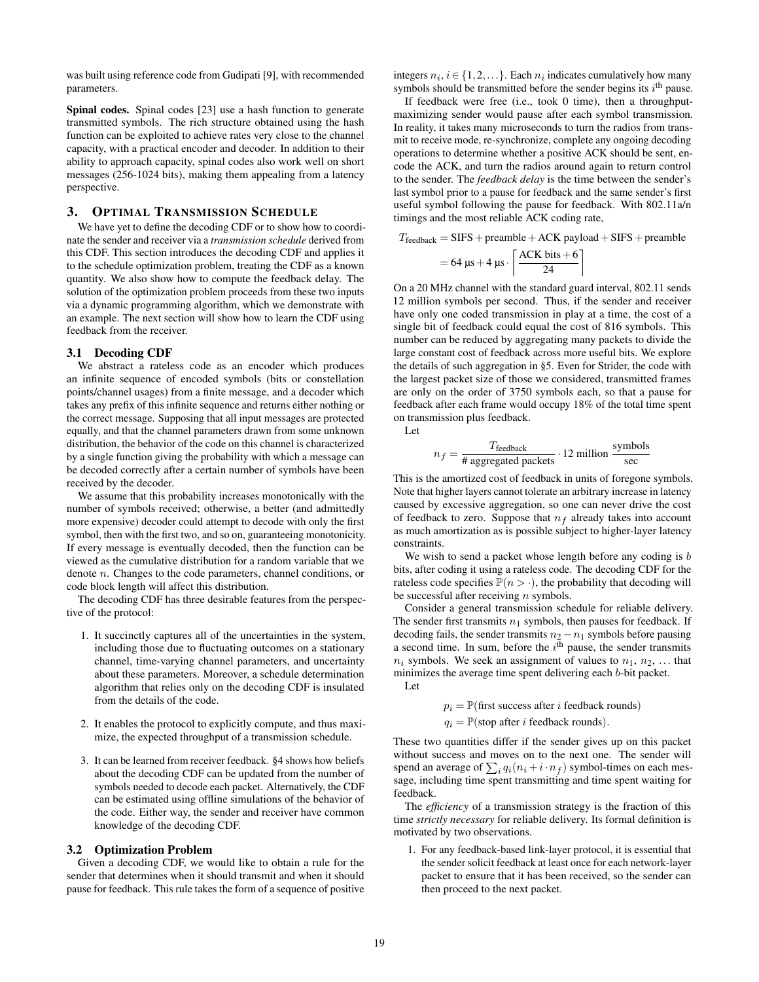was built using reference code from Gudipati [9], with recommended parameters.

Spinal codes. Spinal codes [23] use a hash function to generate transmitted symbols. The rich structure obtained using the hash function can be exploited to achieve rates very close to the channel capacity, with a practical encoder and decoder. In addition to their ability to approach capacity, spinal codes also work well on short messages (256-1024 bits), making them appealing from a latency perspective.

# 3. OPTIMAL TRANSMISSION SCHEDULE

We have yet to define the decoding CDF or to show how to coordinate the sender and receiver via a *transmission schedule* derived from this CDF. This section introduces the decoding CDF and applies it to the schedule optimization problem, treating the CDF as a known quantity. We also show how to compute the feedback delay. The solution of the optimization problem proceeds from these two inputs via a dynamic programming algorithm, which we demonstrate with an example. The next section will show how to learn the CDF using feedback from the receiver.

### 3.1 Decoding CDF

We abstract a rateless code as an encoder which produces an infinite sequence of encoded symbols (bits or constellation points/channel usages) from a finite message, and a decoder which takes any prefix of this infinite sequence and returns either nothing or the correct message. Supposing that all input messages are protected equally, and that the channel parameters drawn from some unknown distribution, the behavior of the code on this channel is characterized by a single function giving the probability with which a message can be decoded correctly after a certain number of symbols have been received by the decoder.

We assume that this probability increases monotonically with the number of symbols received; otherwise, a better (and admittedly more expensive) decoder could attempt to decode with only the first symbol, then with the first two, and so on, guaranteeing monotonicity. If every message is eventually decoded, then the function can be viewed as the cumulative distribution for a random variable that we denote n. Changes to the code parameters, channel conditions, or code block length will affect this distribution.

The decoding CDF has three desirable features from the perspective of the protocol:

- 1. It succinctly captures all of the uncertainties in the system, including those due to fluctuating outcomes on a stationary channel, time-varying channel parameters, and uncertainty about these parameters. Moreover, a schedule determination algorithm that relies only on the decoding CDF is insulated from the details of the code.
- 2. It enables the protocol to explicitly compute, and thus maximize, the expected throughput of a transmission schedule.
- 3. It can be learned from receiver feedback. §4 shows how beliefs about the decoding CDF can be updated from the number of symbols needed to decode each packet. Alternatively, the CDF can be estimated using offline simulations of the behavior of the code. Either way, the sender and receiver have common knowledge of the decoding CDF.

#### 3.2 Optimization Problem

Given a decoding CDF, we would like to obtain a rule for the sender that determines when it should transmit and when it should pause for feedback. This rule takes the form of a sequence of positive integers  $n_i$ ,  $i \in \{1, 2, ...\}$ . Each  $n_i$  indicates cumulatively how many symbols should be transmitted before the sender begins its  $i<sup>th</sup>$  pause.

If feedback were free (i.e., took 0 time), then a throughputmaximizing sender would pause after each symbol transmission. In reality, it takes many microseconds to turn the radios from transmit to receive mode, re-synchronize, complete any ongoing decoding operations to determine whether a positive ACK should be sent, encode the ACK, and turn the radios around again to return control to the sender. The *feedback delay* is the time between the sender's last symbol prior to a pause for feedback and the same sender's first useful symbol following the pause for feedback. With 802.11a/n timings and the most reliable ACK coding rate,

$$
T_{\text{feedback}} = \text{SIFS} + \text{preamble} + \text{ACK payload} + \text{SIFS} + \text{preamble}
$$

$$
= 64 \text{ }\mu\text{s} + 4 \text{ }\mu\text{s} \cdot \left\lceil \frac{\text{ACK bits} + 6}{24} \right\rceil
$$

On a 20 MHz channel with the standard guard interval, 802.11 sends 12 million symbols per second. Thus, if the sender and receiver have only one coded transmission in play at a time, the cost of a single bit of feedback could equal the cost of 816 symbols. This number can be reduced by aggregating many packets to divide the large constant cost of feedback across more useful bits. We explore the details of such aggregation in §5. Even for Strider, the code with the largest packet size of those we considered, transmitted frames are only on the order of 3750 symbols each, so that a pause for feedback after each frame would occupy 18% of the total time spent on transmission plus feedback.

Let

$$
n_f = \frac{T_{\text{feedback}}}{\# \text{ aggregated packets}} \cdot 12 \text{ million } \frac{\text{symbols}}{\text{sec}}
$$

This is the amortized cost of feedback in units of foregone symbols. Note that higher layers cannot tolerate an arbitrary increase in latency caused by excessive aggregation, so one can never drive the cost of feedback to zero. Suppose that  $n_f$  already takes into account as much amortization as is possible subject to higher-layer latency constraints.

We wish to send a packet whose length before any coding is  $b$ bits, after coding it using a rateless code. The decoding CDF for the rateless code specifies  $\mathbb{P}(n > \cdot)$ , the probability that decoding will be successful after receiving  $n$  symbols.

Consider a general transmission schedule for reliable delivery. The sender first transmits  $n_1$  symbols, then pauses for feedback. If decoding fails, the sender transmits  $n_2 - n_1$  symbols before pausing a second time. In sum, before the  $i<sup>th</sup>$  pause, the sender transmits  $n_i$  symbols. We seek an assignment of values to  $n_1, n_2, \ldots$  that minimizes the average time spent delivering each b-bit packet.

Let

 $p_i = \mathbb{P}(\text{first success after } i \text{ feedback rounds})$ 

 $q_i = \mathbb{P}(\text{stop after } i \text{ feedback rounds}).$ 

These two quantities differ if the sender gives up on this packet without success and moves on to the next one. The sender will spend an average of  $\sum_i q_i (n_i + i \cdot n_f)$  symbol-times on each message, including time spent transmitting and time spent waiting for feedback.

The *efficiency* of a transmission strategy is the fraction of this time *strictly necessary* for reliable delivery. Its formal definition is motivated by two observations.

1. For any feedback-based link-layer protocol, it is essential that the sender solicit feedback at least once for each network-layer packet to ensure that it has been received, so the sender can then proceed to the next packet.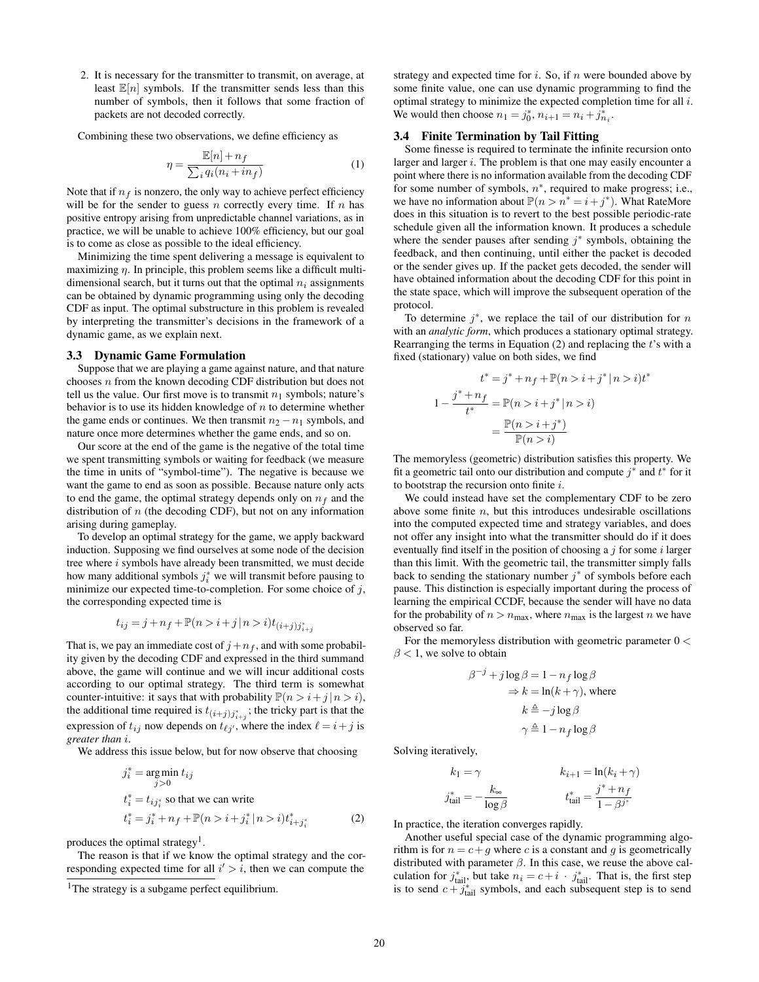2. It is necessary for the transmitter to transmit, on average, at least  $\mathbb{E}[n]$  symbols. If the transmitter sends less than this number of symbols, then it follows that some fraction of packets are not decoded correctly.

Combining these two observations, we define efficiency as

$$
\eta = \frac{\mathbb{E}[n] + n_f}{\sum_i q_i (n_i + in_f)}\tag{1}
$$

Note that if  $n_f$  is nonzero, the only way to achieve perfect efficiency will be for the sender to guess  $n$  correctly every time. If  $n$  has positive entropy arising from unpredictable channel variations, as in practice, we will be unable to achieve 100% efficiency, but our goal is to come as close as possible to the ideal efficiency.

Minimizing the time spent delivering a message is equivalent to maximizing  $\eta$ . In principle, this problem seems like a difficult multidimensional search, but it turns out that the optimal  $n_i$  assignments can be obtained by dynamic programming using only the decoding CDF as input. The optimal substructure in this problem is revealed by interpreting the transmitter's decisions in the framework of a dynamic game, as we explain next.

### 3.3 Dynamic Game Formulation

Suppose that we are playing a game against nature, and that nature chooses  $n$  from the known decoding CDF distribution but does not tell us the value. Our first move is to transmit  $n_1$  symbols; nature's behavior is to use its hidden knowledge of  $n$  to determine whether the game ends or continues. We then transmit  $n_2 - n_1$  symbols, and nature once more determines whether the game ends, and so on.

Our score at the end of the game is the negative of the total time we spent transmitting symbols or waiting for feedback (we measure the time in units of "symbol-time"). The negative is because we want the game to end as soon as possible. Because nature only acts to end the game, the optimal strategy depends only on  $n_f$  and the distribution of  $n$  (the decoding CDF), but not on any information arising during gameplay.

To develop an optimal strategy for the game, we apply backward induction. Supposing we find ourselves at some node of the decision tree where i symbols have already been transmitted, we must decide how many additional symbols  $j_i^*$  we will transmit before pausing to minimize our expected time-to-completion. For some choice of  $j$ , the corresponding expected time is

$$
t_{ij} = j + n_f + \mathbb{P}(n > i + j \mid n > i) t_{(i+j)j^*_{i+j}}
$$

That is, we pay an immediate cost of  $j + n_f$ , and with some probability given by the decoding CDF and expressed in the third summand above, the game will continue and we will incur additional costs according to our optimal strategy. The third term is somewhat counter-intuitive: it says that with probability  $\mathbb{P}(n>i+j | n>i)$ , the additional time required is  $t_{(i+j)j_{i+j}^*}$ ; the tricky part is that the expression of  $t_{ij}$  now depends on  $t_{\ell j'}$ , where the index  $\ell = i+j$  is *greater than* i.

We address this issue below, but for now observe that choosing

$$
j_i^* = \underset{j>0}{\text{arg min}} t_{ij}
$$
  
\n
$$
t_i^* = t_{ij_i^*} \text{ so that we can write}
$$
  
\n
$$
t_i^* = j_i^* + n_f + \mathbb{P}(n > i + j_i^* \mid n > i) t_{i+j_i^*}^* \tag{2}
$$

produces the optimal strategy<sup>1</sup>.

The reason is that if we know the optimal strategy and the corresponding expected time for all  $i' > i$ , then we can compute the

strategy and expected time for  $i$ . So, if  $n$  were bounded above by some finite value, one can use dynamic programming to find the optimal strategy to minimize the expected completion time for all  $i$ . We would then choose  $n_1 = j_0^*, n_{i+1} = n_i + j_{n_i}^*.$ 

## 3.4 Finite Termination by Tail Fitting

Some finesse is required to terminate the infinite recursion onto larger and larger i. The problem is that one may easily encounter a point where there is no information available from the decoding CDF for some number of symbols,  $n^*$ , required to make progress; i.e., we have no information about  $\mathbb{P}(n>n^* = i+j^*)$ . What RateMore does in this situation is to revert to the best possible periodic-rate schedule given all the information known. It produces a schedule where the sender pauses after sending  $j^*$  symbols, obtaining the feedback, and then continuing, until either the packet is decoded or the sender gives up. If the packet gets decoded, the sender will have obtained information about the decoding CDF for this point in the state space, which will improve the subsequent operation of the protocol.

To determine  $j^*$ , we replace the tail of our distribution for n with an *analytic form*, which produces a stationary optimal strategy. Rearranging the terms in Equation  $(2)$  and replacing the t's with a fixed (stationary) value on both sides, we find

$$
t^* = j^* + n_f + \mathbb{P}(n > i + j^* | n > i)t^*
$$

$$
1 - \frac{j^* + n_f}{t^*} = \mathbb{P}(n > i + j^* | n > i)
$$

$$
= \frac{\mathbb{P}(n > i + j^*)}{\mathbb{P}(n > i)}
$$

The memoryless (geometric) distribution satisfies this property. We fit a geometric tail onto our distribution and compute  $j^*$  and  $t^*$  for it to bootstrap the recursion onto finite  $i$ .

We could instead have set the complementary CDF to be zero above some finite  $n$ , but this introduces undesirable oscillations into the computed expected time and strategy variables, and does not offer any insight into what the transmitter should do if it does eventually find itself in the position of choosing a  $j$  for some i larger than this limit. With the geometric tail, the transmitter simply falls back to sending the stationary number  $j^*$  of symbols before each pause. This distinction is especially important during the process of learning the empirical CCDF, because the sender will have no data for the probability of  $n>n_{\text{max}}$ , where  $n_{\text{max}}$  is the largest n we have observed so far.

For the memoryless distribution with geometric parameter 0 <  $\beta$  < 1, we solve to obtain

$$
\beta^{-j} + j \log \beta = 1 - n_f \log \beta
$$
  
\n
$$
\Rightarrow k = \ln(k + \gamma), \text{ where}
$$
  
\n
$$
k \triangleq -j \log \beta
$$
  
\n
$$
\gamma \triangleq 1 - n_f \log \beta
$$

Solving iteratively,

$$
k_1 = \gamma
$$
  
\n
$$
j_{\text{tail}}^* = -\frac{k_{\infty}}{\log \beta}
$$
  
\n
$$
k_{i+1} = \ln(k_i + \gamma)
$$
  
\n
$$
t_{\text{tail}}^* = \frac{j^* + n_f}{1 - \beta j^*}
$$

In practice, the iteration converges rapidly.

Another useful special case of the dynamic programming algorithm is for  $n = c + g$  where c is a constant and g is geometrically distributed with parameter  $\beta$ . In this case, we reuse the above calculation for  $j_{\text{tail}}^*$ , but take  $n_i = c + i \cdot j_{\text{tail}}^*$ . That is, the first step is to send  $c + j_{tail}^*$  symbols, and each subsequent step is to send

<sup>&</sup>lt;sup>1</sup>The strategy is a subgame perfect equilibrium.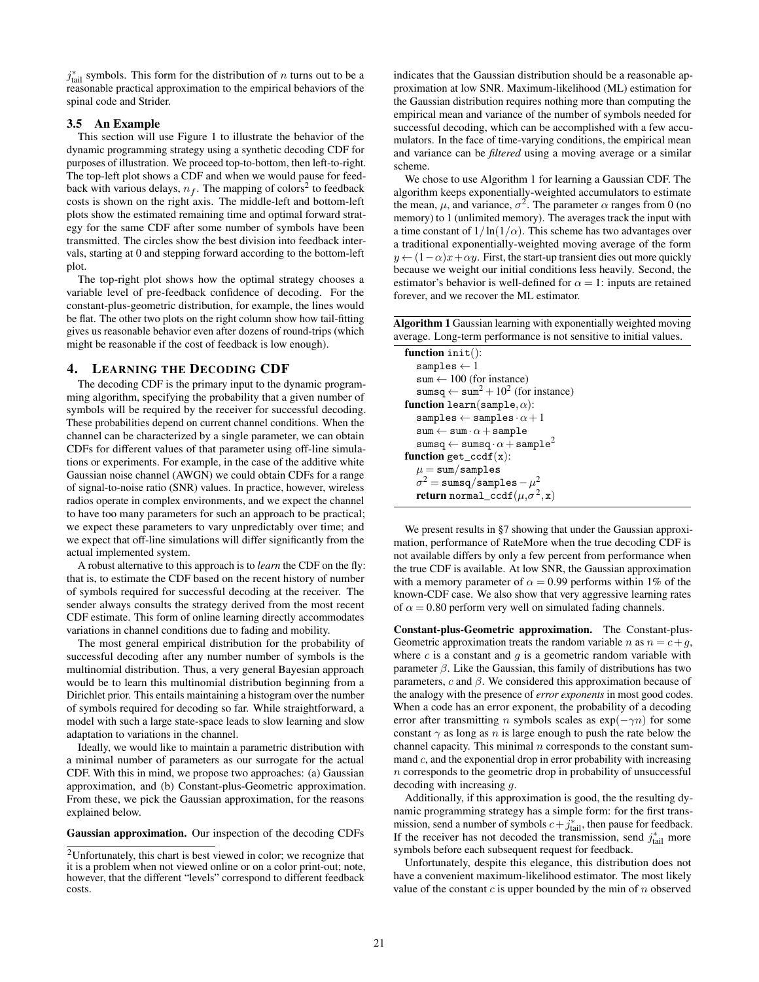$j^*_{\text{tail}}$  symbols. This form for the distribution of n turns out to be a reasonable practical approximation to the empirical behaviors of the spinal code and Strider.

## 3.5 An Example

This section will use Figure 1 to illustrate the behavior of the dynamic programming strategy using a synthetic decoding CDF for purposes of illustration. We proceed top-to-bottom, then left-to-right. The top-left plot shows a CDF and when we would pause for feedback with various delays,  $n_f$ . The mapping of colors<sup>2</sup> to feedback costs is shown on the right axis. The middle-left and bottom-left plots show the estimated remaining time and optimal forward strategy for the same CDF after some number of symbols have been transmitted. The circles show the best division into feedback intervals, starting at 0 and stepping forward according to the bottom-left plot.

The top-right plot shows how the optimal strategy chooses a variable level of pre-feedback confidence of decoding. For the constant-plus-geometric distribution, for example, the lines would be flat. The other two plots on the right column show how tail-fitting gives us reasonable behavior even after dozens of round-trips (which might be reasonable if the cost of feedback is low enough).

## 4. LEARNING THE DECODING CDF

The decoding CDF is the primary input to the dynamic programming algorithm, specifying the probability that a given number of symbols will be required by the receiver for successful decoding. These probabilities depend on current channel conditions. When the channel can be characterized by a single parameter, we can obtain CDFs for different values of that parameter using off-line simulations or experiments. For example, in the case of the additive white Gaussian noise channel (AWGN) we could obtain CDFs for a range of signal-to-noise ratio (SNR) values. In practice, however, wireless radios operate in complex environments, and we expect the channel to have too many parameters for such an approach to be practical; we expect these parameters to vary unpredictably over time; and we expect that off-line simulations will differ significantly from the actual implemented system.

A robust alternative to this approach is to *learn* the CDF on the fly: that is, to estimate the CDF based on the recent history of number of symbols required for successful decoding at the receiver. The sender always consults the strategy derived from the most recent CDF estimate. This form of online learning directly accommodates variations in channel conditions due to fading and mobility.

The most general empirical distribution for the probability of successful decoding after any number number of symbols is the multinomial distribution. Thus, a very general Bayesian approach would be to learn this multinomial distribution beginning from a Dirichlet prior. This entails maintaining a histogram over the number of symbols required for decoding so far. While straightforward, a model with such a large state-space leads to slow learning and slow adaptation to variations in the channel.

Ideally, we would like to maintain a parametric distribution with a minimal number of parameters as our surrogate for the actual CDF. With this in mind, we propose two approaches: (a) Gaussian approximation, and (b) Constant-plus-Geometric approximation. From these, we pick the Gaussian approximation, for the reasons explained below.

Gaussian approximation. Our inspection of the decoding CDFs

indicates that the Gaussian distribution should be a reasonable approximation at low SNR. Maximum-likelihood (ML) estimation for the Gaussian distribution requires nothing more than computing the empirical mean and variance of the number of symbols needed for successful decoding, which can be accomplished with a few accumulators. In the face of time-varying conditions, the empirical mean and variance can be *filtered* using a moving average or a similar scheme.

We chose to use Algorithm 1 for learning a Gaussian CDF. The algorithm keeps exponentially-weighted accumulators to estimate the mean,  $\mu$ , and variance,  $\sigma^2$ . The parameter  $\alpha$  ranges from 0 (no memory) to 1 (unlimited memory). The averages track the input with a time constant of  $1/\ln(1/\alpha)$ . This scheme has two advantages over a traditional exponentially-weighted moving average of the form  $y \leftarrow (1-\alpha)x + \alpha y$ . First, the start-up transient dies out more quickly because we weight our initial conditions less heavily. Second, the estimator's behavior is well-defined for  $\alpha = 1$ : inputs are retained forever, and we recover the ML estimator.

Algorithm 1 Gaussian learning with exponentially weighted moving average. Long-term performance is not sensitive to initial values.

We present results in §7 showing that under the Gaussian approximation, performance of RateMore when the true decoding CDF is not available differs by only a few percent from performance when the true CDF is available. At low SNR, the Gaussian approximation with a memory parameter of  $\alpha = 0.99$  performs within 1% of the known-CDF case. We also show that very aggressive learning rates of  $\alpha = 0.80$  perform very well on simulated fading channels.

Constant-plus-Geometric approximation. The Constant-plus-Geometric approximation treats the random variable n as  $n = c + g$ , where  $c$  is a constant and  $g$  is a geometric random variable with parameter  $\beta$ . Like the Gaussian, this family of distributions has two parameters,  $c$  and  $\beta$ . We considered this approximation because of the analogy with the presence of *error exponents* in most good codes. When a code has an error exponent, the probability of a decoding error after transmitting *n* symbols scales as  $exp(-\gamma n)$  for some constant  $\gamma$  as long as n is large enough to push the rate below the channel capacity. This minimal  $n$  corresponds to the constant summand c, and the exponential drop in error probability with increasing  $n$  corresponds to the geometric drop in probability of unsuccessful decoding with increasing g.

Additionally, if this approximation is good, the the resulting dynamic programming strategy has a simple form: for the first transmission, send a number of symbols  $c + j^*_{\text{tail}}$ , then pause for feedback. If the receiver has not decoded the transmission, send  $j_{\text{tail}}^*$  more symbols before each subsequent request for feedback.

Unfortunately, despite this elegance, this distribution does not have a convenient maximum-likelihood estimator. The most likely value of the constant  $c$  is upper bounded by the min of  $n$  observed

<sup>2</sup>Unfortunately, this chart is best viewed in color; we recognize that it is a problem when not viewed online or on a color print-out; note, however, that the different "levels" correspond to different feedback costs.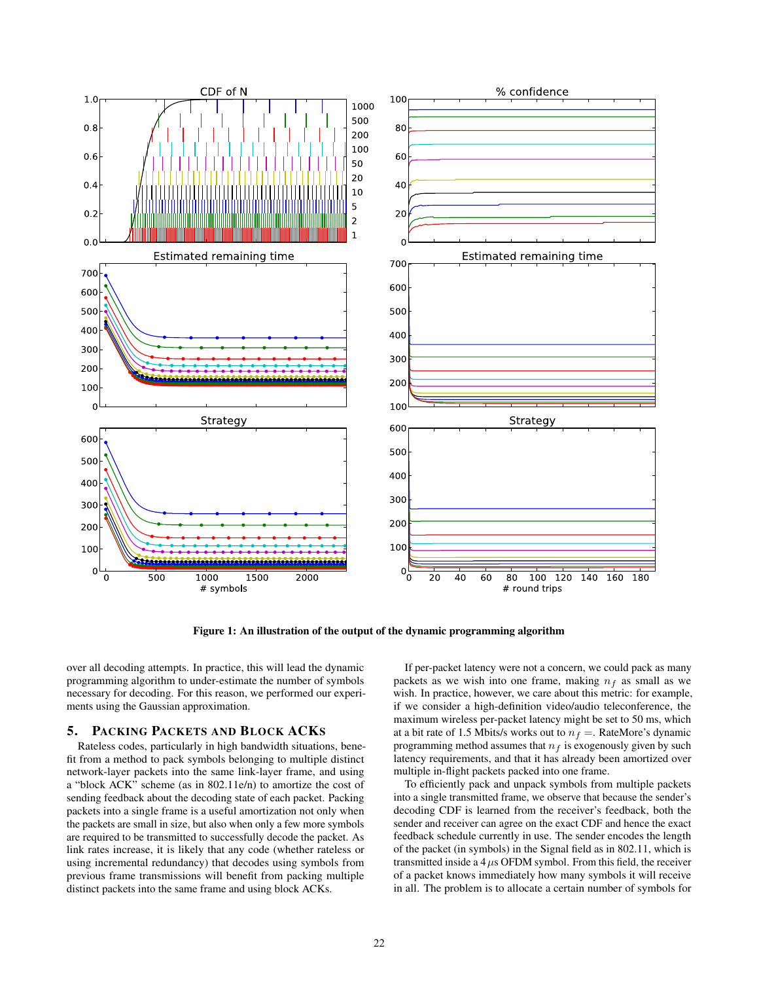

Figure 1: An illustration of the output of the dynamic programming algorithm

over all decoding attempts. In practice, this will lead the dynamic programming algorithm to under-estimate the number of symbols necessary for decoding. For this reason, we performed our experiments using the Gaussian approximation.

## 5. PACKING PACKETS AND BLOCK ACKS

Rateless codes, particularly in high bandwidth situations, benefit from a method to pack symbols belonging to multiple distinct network-layer packets into the same link-layer frame, and using a "block ACK" scheme (as in 802.11e/n) to amortize the cost of sending feedback about the decoding state of each packet. Packing packets into a single frame is a useful amortization not only when the packets are small in size, but also when only a few more symbols are required to be transmitted to successfully decode the packet. As link rates increase, it is likely that any code (whether rateless or using incremental redundancy) that decodes using symbols from previous frame transmissions will benefit from packing multiple distinct packets into the same frame and using block ACKs.

If per-packet latency were not a concern, we could pack as many packets as we wish into one frame, making  $n_f$  as small as we wish. In practice, however, we care about this metric: for example, if we consider a high-definition video/audio teleconference, the maximum wireless per-packet latency might be set to 50 ms, which at a bit rate of 1.5 Mbits/s works out to  $n_f =$ . RateMore's dynamic programming method assumes that  $n_f$  is exogenously given by such latency requirements, and that it has already been amortized over multiple in-flight packets packed into one frame.

To efficiently pack and unpack symbols from multiple packets into a single transmitted frame, we observe that because the sender's decoding CDF is learned from the receiver's feedback, both the sender and receiver can agree on the exact CDF and hence the exact feedback schedule currently in use. The sender encodes the length of the packet (in symbols) in the Signal field as in 802.11, which is transmitted inside a  $4 \mu s$  OFDM symbol. From this field, the receiver of a packet knows immediately how many symbols it will receive in all. The problem is to allocate a certain number of symbols for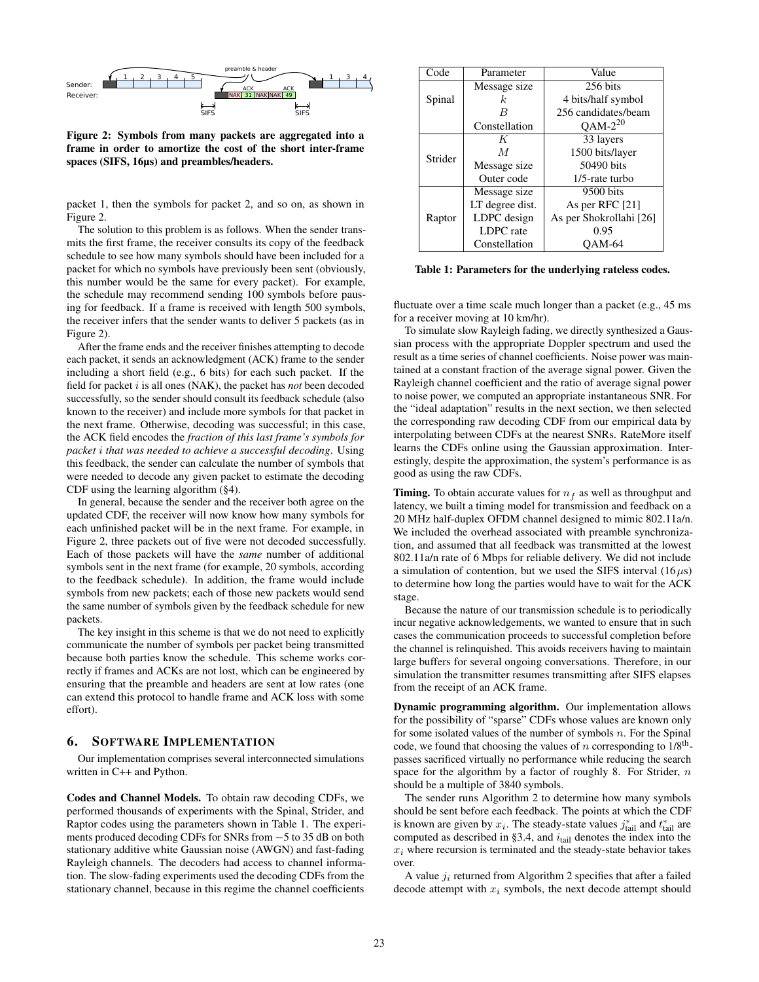

Figure 2: Symbols from many packets are aggregated into a frame in order to amortize the cost of the short inter-frame spaces (SIFS, 16µs) and preambles/headers.

packet 1, then the symbols for packet 2, and so on, as shown in Figure 2.

The solution to this problem is as follows. When the sender transmits the first frame, the receiver consults its copy of the feedback schedule to see how many symbols should have been included for a packet for which no symbols have previously been sent (obviously, this number would be the same for every packet). For example, the schedule may recommend sending 100 symbols before pausing for feedback. If a frame is received with length 500 symbols, the receiver infers that the sender wants to deliver 5 packets (as in Figure 2).

After the frame ends and the receiver finishes attempting to decode each packet, it sends an acknowledgment (ACK) frame to the sender including a short field (e.g., 6 bits) for each such packet. If the field for packet i is all ones (NAK), the packet has *not* been decoded successfully, so the sender should consult its feedback schedule (also known to the receiver) and include more symbols for that packet in the next frame. Otherwise, decoding was successful; in this case, the ACK field encodes the *fraction of this last frame's symbols for packet* i *that was needed to achieve a successful decoding*. Using this feedback, the sender can calculate the number of symbols that were needed to decode any given packet to estimate the decoding CDF using the learning algorithm (§4).

In general, because the sender and the receiver both agree on the updated CDF, the receiver will now know how many symbols for each unfinished packet will be in the next frame. For example, in Figure 2, three packets out of five were not decoded successfully. Each of those packets will have the *same* number of additional symbols sent in the next frame (for example, 20 symbols, according to the feedback schedule). In addition, the frame would include symbols from new packets; each of those new packets would send the same number of symbols given by the feedback schedule for new packets.

The key insight in this scheme is that we do not need to explicitly communicate the number of symbols per packet being transmitted because both parties know the schedule. This scheme works correctly if frames and ACKs are not lost, which can be engineered by ensuring that the preamble and headers are sent at low rates (one can extend this protocol to handle frame and ACK loss with some effort).

## 6. SOFTWARE IMPLEMENTATION

Our implementation comprises several interconnected simulations written in C++ and Python.

Codes and Channel Models. To obtain raw decoding CDFs, we performed thousands of experiments with the Spinal, Strider, and Raptor codes using the parameters shown in Table 1. The experiments produced decoding CDFs for SNRs from −5 to 35 dB on both stationary additive white Gaussian noise (AWGN) and fast-fading Rayleigh channels. The decoders had access to channel information. The slow-fading experiments used the decoding CDFs from the stationary channel, because in this regime the channel coefficients

| Code    | Parameter       | Value                   |
|---------|-----------------|-------------------------|
| Spinal  | Message size    | 256 bits                |
|         | k.              | 4 bits/half symbol      |
|         | B               | 256 candidates/beam     |
|         | Constellation   | QAM- $2^{20}$           |
| Strider | K               | 33 layers               |
|         | $\overline{M}$  | 1500 bits/layer         |
|         | Message size    | 50490 bits              |
|         | Outer code      | $1/5$ -rate turbo       |
| Raptor  | Message size    | 9500 bits               |
|         | LT degree dist. | As per RFC [21]         |
|         | LDPC design     | As per Shokrollahi [26] |
|         | LDPC rate       | 0.95                    |
|         | Constellation   | OAM-64                  |

Table 1: Parameters for the underlying rateless codes.

fluctuate over a time scale much longer than a packet (e.g., 45 ms for a receiver moving at 10 km/hr).

To simulate slow Rayleigh fading, we directly synthesized a Gaussian process with the appropriate Doppler spectrum and used the result as a time series of channel coefficients. Noise power was maintained at a constant fraction of the average signal power. Given the Rayleigh channel coefficient and the ratio of average signal power to noise power, we computed an appropriate instantaneous SNR. For the "ideal adaptation" results in the next section, we then selected the corresponding raw decoding CDF from our empirical data by interpolating between CDFs at the nearest SNRs. RateMore itself learns the CDFs online using the Gaussian approximation. Interestingly, despite the approximation, the system's performance is as good as using the raw CDFs.

**Timing.** To obtain accurate values for  $n_f$  as well as throughput and latency, we built a timing model for transmission and feedback on a 20 MHz half-duplex OFDM channel designed to mimic 802.11a/n. We included the overhead associated with preamble synchronization, and assumed that all feedback was transmitted at the lowest 802.11a/n rate of 6 Mbps for reliable delivery. We did not include a simulation of contention, but we used the SIFS interval  $(16 \mu s)$ to determine how long the parties would have to wait for the ACK stage.

Because the nature of our transmission schedule is to periodically incur negative acknowledgements, we wanted to ensure that in such cases the communication proceeds to successful completion before the channel is relinquished. This avoids receivers having to maintain large buffers for several ongoing conversations. Therefore, in our simulation the transmitter resumes transmitting after SIFS elapses from the receipt of an ACK frame.

Dynamic programming algorithm. Our implementation allows for the possibility of "sparse" CDFs whose values are known only for some isolated values of the number of symbols  $n$ . For the Spinal code, we found that choosing the values of n corresponding to  $1/8^{\text{th}}$ passes sacrificed virtually no performance while reducing the search space for the algorithm by a factor of roughly 8. For Strider,  $n$ should be a multiple of 3840 symbols.

The sender runs Algorithm 2 to determine how many symbols should be sent before each feedback. The points at which the CDF is known are given by  $x_i$ . The steady-state values  $j^*_{\text{tail}}$  and  $t^*_{\text{tail}}$  are computed as described in §3.4, and  $i$ <sub>tail</sub> denotes the index into the  $x_i$  where recursion is terminated and the steady-state behavior takes over.

A value  $j_i$  returned from Algorithm 2 specifies that after a failed decode attempt with  $x_i$  symbols, the next decode attempt should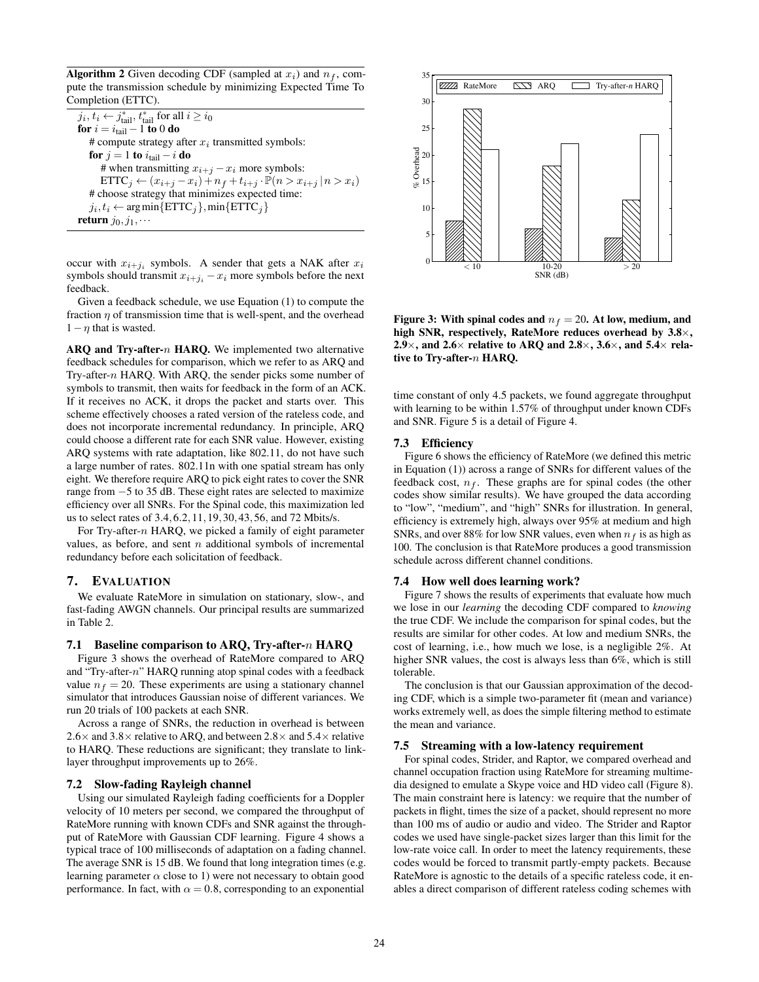**Algorithm 2** Given decoding CDF (sampled at  $x_i$ ) and  $n_f$ , compute the transmission schedule by minimizing Expected Time To Completion (ETTC).

 $j_i, t_i \leftarrow j_{\text{tail}}^*$ ,  $t_{\text{tail}}^*$  for all  $i \ge i_0$ for  $i = i_{tail} - 1$  to 0 do # compute strategy after  $x_i$  transmitted symbols: for  $j = 1$  to  $i_{tail} - i$  do # when transmitting  $x_{i+j} - x_i$  more symbols: ETTC<sub>j</sub> ←  $(x_{i+j} - x_i) + n_f + t_{i+j} \cdot \mathbb{P}(n > x_{i+j} | n > x_i)$ # choose strategy that minimizes expected time:  $j_i, t_i \leftarrow \arg\min\{ \text{ETTC}_j \}$ , min $\{ \text{ETTC}_j \}$ return  $j_0, j_1, \cdots$ 

occur with  $x_{i+j_i}$  symbols. A sender that gets a NAK after  $x_i$ symbols should transmit  $x_{i+j_i} - x_i$  more symbols before the next feedback.

Given a feedback schedule, we use Equation (1) to compute the fraction  $\eta$  of transmission time that is well-spent, and the overhead  $1 - \eta$  that is wasted.

 $ARQ$  and Try-after- $n$  HARQ. We implemented two alternative feedback schedules for comparison, which we refer to as ARQ and Try-after- $n$  HARQ. With ARQ, the sender picks some number of symbols to transmit, then waits for feedback in the form of an ACK. If it receives no ACK, it drops the packet and starts over. This scheme effectively chooses a rated version of the rateless code, and does not incorporate incremental redundancy. In principle, ARQ could choose a different rate for each SNR value. However, existing ARQ systems with rate adaptation, like 802.11, do not have such a large number of rates. 802.11n with one spatial stream has only eight. We therefore require ARQ to pick eight rates to cover the SNR range from −5 to 35 dB. These eight rates are selected to maximize efficiency over all SNRs. For the Spinal code, this maximization led us to select rates of 3.4,6.2,11,19,30,43,56, and 72 Mbits/s.

For Try-after-n HARQ, we picked a family of eight parameter values, as before, and sent  $n$  additional symbols of incremental redundancy before each solicitation of feedback.

## 7. EVALUATION

We evaluate RateMore in simulation on stationary, slow-, and fast-fading AWGN channels. Our principal results are summarized in Table 2.

### 7.1 Baseline comparison to ARQ, Try-after- $n$  HARQ

Figure 3 shows the overhead of RateMore compared to ARQ and "Try-after-n" HARQ running atop spinal codes with a feedback value  $n_f = 20$ . These experiments are using a stationary channel simulator that introduces Gaussian noise of different variances. We run 20 trials of 100 packets at each SNR.

Across a range of SNRs, the reduction in overhead is between 2.6 $\times$  and 3.8 $\times$  relative to ARQ, and between 2.8 $\times$  and 5.4 $\times$  relative to HARQ. These reductions are significant; they translate to linklayer throughput improvements up to 26%.

#### 7.2 Slow-fading Rayleigh channel

Using our simulated Rayleigh fading coefficients for a Doppler velocity of 10 meters per second, we compared the throughput of RateMore running with known CDFs and SNR against the throughput of RateMore with Gaussian CDF learning. Figure 4 shows a typical trace of 100 milliseconds of adaptation on a fading channel. The average SNR is 15 dB. We found that long integration times (e.g. learning parameter  $\alpha$  close to 1) were not necessary to obtain good performance. In fact, with  $\alpha = 0.8$ , corresponding to an exponential



Figure 3: With spinal codes and  $n_f = 20$ . At low, medium, and high SNR, respectively, RateMore reduces overhead by 3.8×, 2.9 $\times$ , and 2.6 $\times$  relative to ARQ and 2.8 $\times$ , 3.6 $\times$ , and 5.4 $\times$  relative to Try-after- $n$  HARQ.

time constant of only 4.5 packets, we found aggregate throughput with learning to be within 1.57% of throughput under known CDFs and SNR. Figure 5 is a detail of Figure 4.

#### 7.3 Efficiency

Figure 6 shows the efficiency of RateMore (we defined this metric in Equation (1)) across a range of SNRs for different values of the feedback cost,  $n_f$ . These graphs are for spinal codes (the other codes show similar results). We have grouped the data according to "low", "medium", and "high" SNRs for illustration. In general, efficiency is extremely high, always over 95% at medium and high SNRs, and over 88% for low SNR values, even when  $n_f$  is as high as 100. The conclusion is that RateMore produces a good transmission schedule across different channel conditions.

#### 7.4 How well does learning work?

Figure 7 shows the results of experiments that evaluate how much we lose in our *learning* the decoding CDF compared to *knowing* the true CDF. We include the comparison for spinal codes, but the results are similar for other codes. At low and medium SNRs, the cost of learning, i.e., how much we lose, is a negligible 2%. At higher SNR values, the cost is always less than 6%, which is still tolerable.

The conclusion is that our Gaussian approximation of the decoding CDF, which is a simple two-parameter fit (mean and variance) works extremely well, as does the simple filtering method to estimate the mean and variance.

#### 7.5 Streaming with a low-latency requirement

For spinal codes, Strider, and Raptor, we compared overhead and channel occupation fraction using RateMore for streaming multimedia designed to emulate a Skype voice and HD video call (Figure 8). The main constraint here is latency: we require that the number of packets in flight, times the size of a packet, should represent no more than 100 ms of audio or audio and video. The Strider and Raptor codes we used have single-packet sizes larger than this limit for the low-rate voice call. In order to meet the latency requirements, these codes would be forced to transmit partly-empty packets. Because RateMore is agnostic to the details of a specific rateless code, it enables a direct comparison of different rateless coding schemes with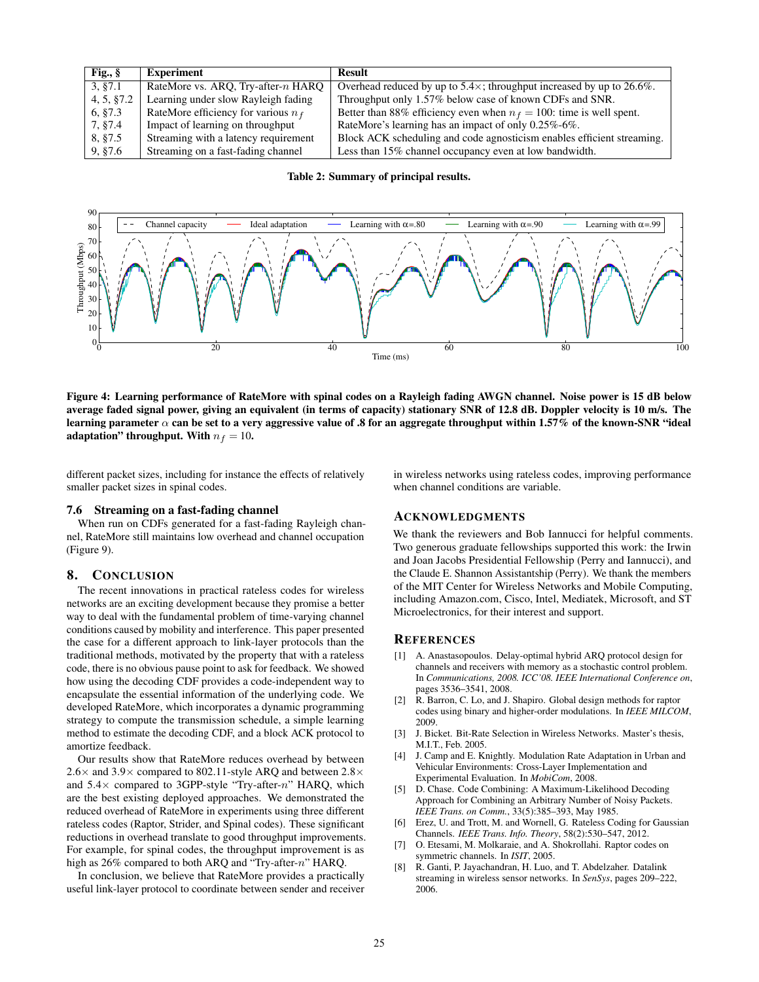| Fig., $\frac{8}{3}$ | <b>Experiment</b>                     | Result                                                                       |
|---------------------|---------------------------------------|------------------------------------------------------------------------------|
| 3, §7.1             | RateMore vs. ARQ, Try-after-n HARQ    | Overhead reduced by up to $5.4\times$ ; throughput increased by up to 26.6%. |
| 4, 5, §7.2          | Learning under slow Rayleigh fading   | Throughput only 1.57% below case of known CDFs and SNR.                      |
| 6, \$7.3            | RateMore efficiency for various $n_f$ | Better than 88% efficiency even when $n_f = 100$ : time is well spent.       |
| 7, §7.4             | Impact of learning on throughput      | RateMore's learning has an impact of only 0.25%-6%.                          |
| 8, §7.5             | Streaming with a latency requirement  | Block ACK scheduling and code agnosticism enables efficient streaming.       |
| 9, \$7.6            | Streaming on a fast-fading channel    | Less than 15% channel occupancy even at low bandwidth.                       |

Table 2: Summary of principal results.



Figure 4: Learning performance of RateMore with spinal codes on a Rayleigh fading AWGN channel. Noise power is 15 dB below average faded signal power, giving an equivalent (in terms of capacity) stationary SNR of 12.8 dB. Doppler velocity is 10 m/s. The learning parameter  $\alpha$  can be set to a very aggressive value of .8 for an aggregate throughput within 1.57% of the known-SNR "ideal adaptation" throughput. With  $n_f = 10$ .

different packet sizes, including for instance the effects of relatively smaller packet sizes in spinal codes.

## 7.6 Streaming on a fast-fading channel

When run on CDFs generated for a fast-fading Rayleigh channel, RateMore still maintains low overhead and channel occupation (Figure 9).

## 8. CONCLUSION

The recent innovations in practical rateless codes for wireless networks are an exciting development because they promise a better way to deal with the fundamental problem of time-varying channel conditions caused by mobility and interference. This paper presented the case for a different approach to link-layer protocols than the traditional methods, motivated by the property that with a rateless code, there is no obvious pause point to ask for feedback. We showed how using the decoding CDF provides a code-independent way to encapsulate the essential information of the underlying code. We developed RateMore, which incorporates a dynamic programming strategy to compute the transmission schedule, a simple learning method to estimate the decoding CDF, and a block ACK protocol to amortize feedback.

Our results show that RateMore reduces overhead by between 2.6 $\times$  and 3.9 $\times$  compared to 802.11-style ARQ and between 2.8 $\times$ and 5.4× compared to 3GPP-style "Try-after-n" HARQ, which are the best existing deployed approaches. We demonstrated the reduced overhead of RateMore in experiments using three different rateless codes (Raptor, Strider, and Spinal codes). These significant reductions in overhead translate to good throughput improvements. For example, for spinal codes, the throughput improvement is as high as 26% compared to both ARQ and "Try-after-n" HARQ.

In conclusion, we believe that RateMore provides a practically useful link-layer protocol to coordinate between sender and receiver in wireless networks using rateless codes, improving performance when channel conditions are variable.

## ACKNOWLEDGMENTS

We thank the reviewers and Bob Iannucci for helpful comments. Two generous graduate fellowships supported this work: the Irwin and Joan Jacobs Presidential Fellowship (Perry and Iannucci), and the Claude E. Shannon Assistantship (Perry). We thank the members of the MIT Center for Wireless Networks and Mobile Computing, including Amazon.com, Cisco, Intel, Mediatek, Microsoft, and ST Microelectronics, for their interest and support.

# **REFERENCES**

- [1] A. Anastasopoulos. Delay-optimal hybrid ARQ protocol design for channels and receivers with memory as a stochastic control problem. In *Communications, 2008. ICC'08. IEEE International Conference on*, pages 3536–3541, 2008.
- [2] R. Barron, C. Lo, and J. Shapiro. Global design methods for raptor codes using binary and higher-order modulations. In *IEEE MILCOM*, 2009.
- [3] J. Bicket. Bit-Rate Selection in Wireless Networks. Master's thesis, M.I.T., Feb. 2005.
- J. Camp and E. Knightly. Modulation Rate Adaptation in Urban and Vehicular Environments: Cross-Layer Implementation and Experimental Evaluation. In *MobiCom*, 2008.
- [5] D. Chase. Code Combining: A Maximum-Likelihood Decoding Approach for Combining an Arbitrary Number of Noisy Packets. *IEEE Trans. on Comm.*, 33(5):385–393, May 1985.
- [6] Erez, U. and Trott, M. and Wornell, G. Rateless Coding for Gaussian Channels. *IEEE Trans. Info. Theory*, 58(2):530–547, 2012.
- [7] O. Etesami, M. Molkaraie, and A. Shokrollahi. Raptor codes on symmetric channels. In *ISIT*, 2005.
- [8] R. Ganti, P. Jayachandran, H. Luo, and T. Abdelzaher. Datalink streaming in wireless sensor networks. In *SenSys*, pages 209–222, 2006.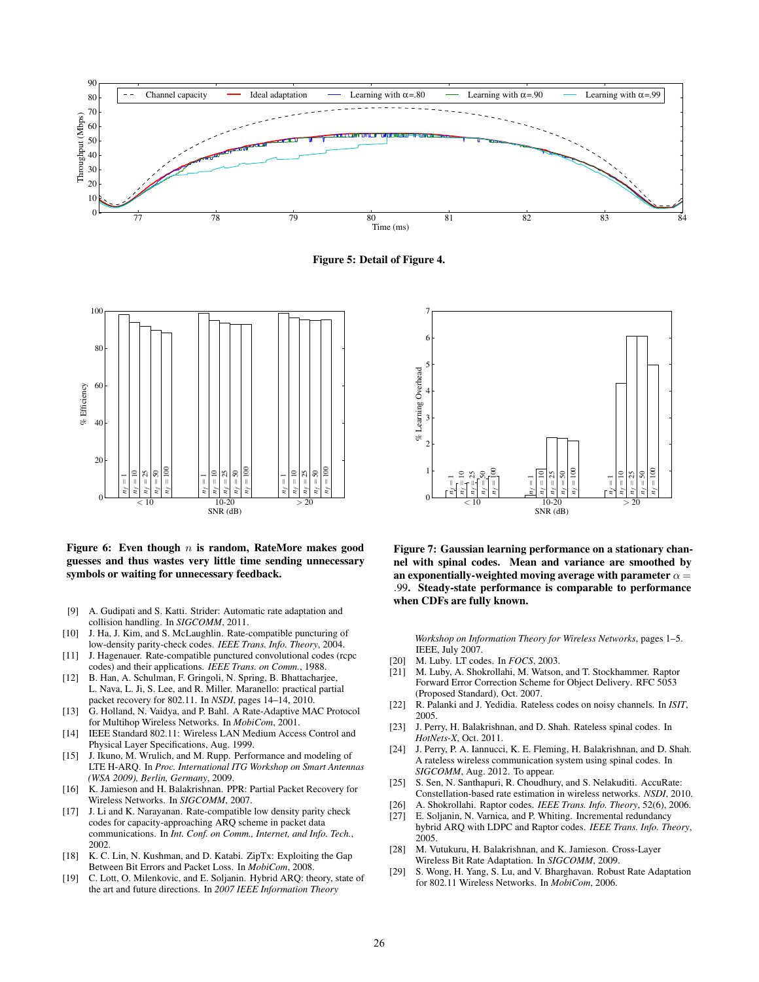

Figure 5: Detail of Figure 4.



## Figure 6: Even though  $n$  is random, RateMore makes good guesses and thus wastes very little time sending unnecessary symbols or waiting for unnecessary feedback.

- [9] A. Gudipati and S. Katti. Strider: Automatic rate adaptation and collision handling. In *SIGCOMM*, 2011.
- [10] J. Ha, J. Kim, and S. McLaughlin. Rate-compatible puncturing of low-density parity-check codes. *IEEE Trans. Info. Theory*, 2004.
- [11] J. Hagenauer. Rate-compatible punctured convolutional codes (rcpc codes) and their applications. *IEEE Trans. on Comm.*, 1988.
- [12] B. Han, A. Schulman, F. Gringoli, N. Spring, B. Bhattacharjee, L. Nava, L. Ji, S. Lee, and R. Miller. Maranello: practical partial packet recovery for 802.11. In *NSDI*, pages 14–14, 2010.
- [13] G. Holland, N. Vaidya, and P. Bahl. A Rate-Adaptive MAC Protocol for Multihop Wireless Networks. In *MobiCom*, 2001.
- [14] IEEE Standard 802.11: Wireless LAN Medium Access Control and Physical Layer Specifications, Aug. 1999.
- [15] J. Ikuno, M. Wrulich, and M. Rupp. Performance and modeling of LTE H-ARQ. In *Proc. International ITG Workshop on Smart Antennas (WSA 2009), Berlin, Germany*, 2009.
- [16] K. Jamieson and H. Balakrishnan. PPR: Partial Packet Recovery for Wireless Networks. In *SIGCOMM*, 2007.
- [17] J. Li and K. Narayanan. Rate-compatible low density parity check codes for capacity-approaching ARQ scheme in packet data communications. In *Int. Conf. on Comm., Internet, and Info. Tech.*, 2002.
- [18] K. C. Lin, N. Kushman, and D. Katabi. ZipTx: Exploiting the Gap Between Bit Errors and Packet Loss. In *MobiCom*, 2008.
- [19] C. Lott, O. Milenkovic, and E. Soljanin. Hybrid ARQ: theory, state of the art and future directions. In *2007 IEEE Information Theory*



Figure 7: Gaussian learning performance on a stationary channel with spinal codes. Mean and variance are smoothed by an exponentially-weighted moving average with parameter  $\alpha =$ .99. Steady-state performance is comparable to performance when CDFs are fully known.

*Workshop on Information Theory for Wireless Networks*, pages 1–5. IEEE, July 2007.

- [20] M. Luby. LT codes. In *FOCS*, 2003.
- [21] M. Luby, A. Shokrollahi, M. Watson, and T. Stockhammer. Raptor Forward Error Correction Scheme for Object Delivery. RFC 5053 (Proposed Standard), Oct. 2007.
- [22] R. Palanki and J. Yedidia. Rateless codes on noisy channels. In *ISIT*, 2005.
- [23] J. Perry, H. Balakrishnan, and D. Shah. Rateless spinal codes. In *HotNets-X*, Oct. 2011.
- [24] J. Perry, P. A. Iannucci, K. E. Fleming, H. Balakrishnan, and D. Shah. A rateless wireless communication system using spinal codes. In *SIGCOMM*, Aug. 2012. To appear.
- [25] S. Sen, N. Santhapuri, R. Choudhury, and S. Nelakuditi. AccuRate: Constellation-based rate estimation in wireless networks. *NSDI*, 2010.
- [26] A. Shokrollahi. Raptor codes. *IEEE Trans. Info. Theory*, 52(6), 2006.
- [27] E. Solianin, N. Varnica, and P. Whiting. Incremental redundancy hybrid ARQ with LDPC and Raptor codes. *IEEE Trans. Info. Theory*, 2005.
- [28] M. Vutukuru, H. Balakrishnan, and K. Jamieson. Cross-Layer Wireless Bit Rate Adaptation. In *SIGCOMM*, 2009.
- [29] S. Wong, H. Yang, S. Lu, and V. Bharghavan. Robust Rate Adaptation for 802.11 Wireless Networks. In *MobiCom*, 2006.